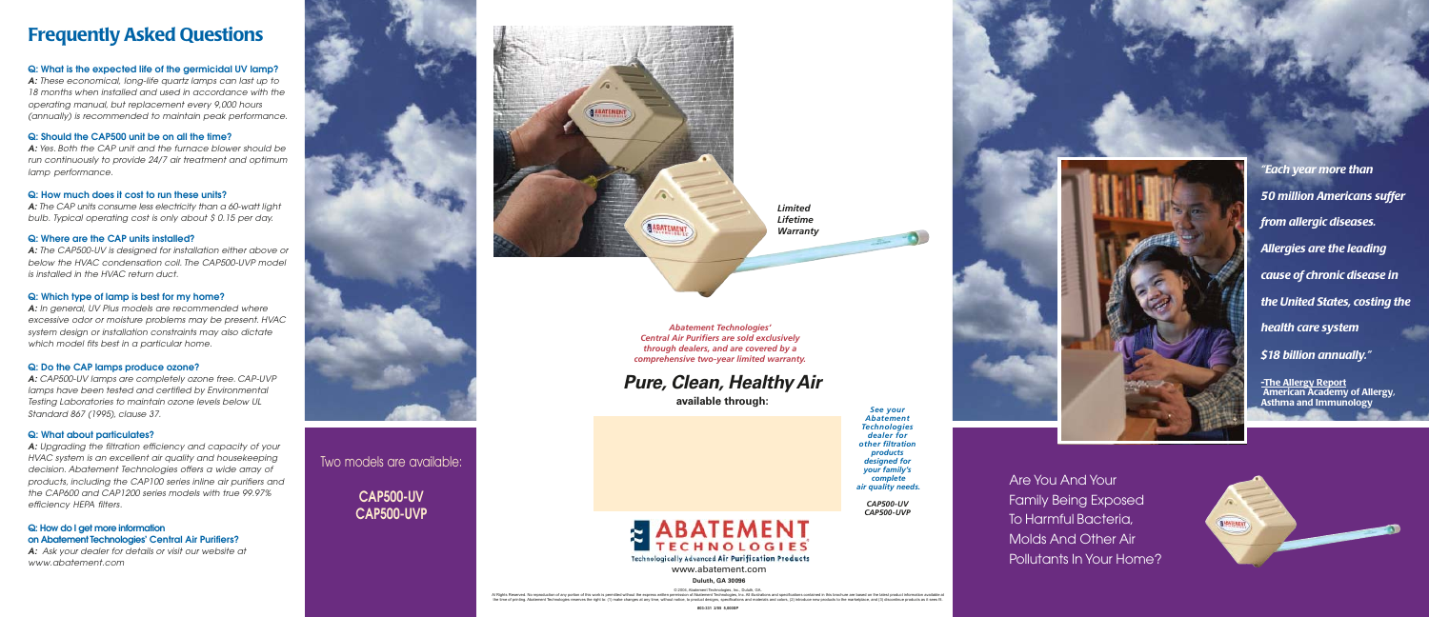Two models are available:

© 2004, Abatement Technologies, Inc., Duluth, GA. Al Rights Reserved. No reproduction of any portion of this work is permitted without the express written permission of Abatement Technologies, Inc. All illustrations and specifications contained in this brochure are based

**CAP500-UV CAP500-UVP**



www.abatement.com

#### **Duluth, GA 30096**



## **Pure, Clean, Healthy Air**

**available through:**

*Abatement Technologies' Central Air Purifiers are sold exclusively through dealers, and are covered by a comprehensive two-year limited warranty.*



*See your Abatement Technologies dealer for other filtration products designed for your family's complete air quality needs.*

*CAP500-UV CAP500-UVP* Are You And Your Family Being Exposed To Harmful Bacteria, Molds And Other Air Pollutants In Your Home?

**A:** In general, UV Plus models are recommended where excessive odor or moisture problems may be present. HVAC system design or installation constraints may also dictate which model fits best in a particular home.

*"Each year more than 50 million Americans suffer from allergic diseases. Allergies are the leading cause of chronic disease in the United States, costing the health care system \$18 billion annually."*

**-The Allergy Report American Academy of Allergy, Asthma and Immunology**





## **Frequently Asked Questions**

### **Q: What is the expected life of the germicidal UV lamp?**

**A:** These economical, long-life quartz lamps can last up to 18 months when installed and used in accordance with the operating manual, but replacement every 9,000 hours (annually) is recommended to maintain peak performance.

### **Q: Should the CAP500 unit be on all the time?**

**A:** Yes. Both the CAP unit and the furnace blower should be run continuously to provide 24/7 air treatment and optimum lamp performance.

### **Q: How much does it cost to run these units?**

**A:** The CAP units consume less electricity than a 60-watt light bulb. Typical operating cost is only about \$ 0.15 per day.

### **Q: Where are the CAP units installed?**

**A:** The CAP500-UV is designed for installation either above or below the HVAC condensation coil. The CAP500-UVP model is installed in the HVAC return duct.

### **Q: Which type of lamp is best for my home?**

### **Q: Do the CAP lamps produce ozone?**

**A:** CAP500-UV lamps are completely ozone free. CAP-UVP lamps have been tested and certified by Environmental Testing Laboratories to maintain ozone levels below UL Standard 867 (1995), clause 37.

### **Q: What about particulates?**

**A:** Upgrading the filtration efficiency and capacity of your HVAC system is an excellent air quality and housekeeping decision. Abatement Technologies offers a wide array of products, including the CAP100 series inline air purifiers and the CAP600 and CAP1200 series models with true 99.97% efficiency HEPA filters.

### **Q: How do I get more information on Abatement Technologies' Central Air Purifiers?**

**A:** Ask your dealer for details or visit our website at www.abatement.com



*Limited Lifetime Warranty*